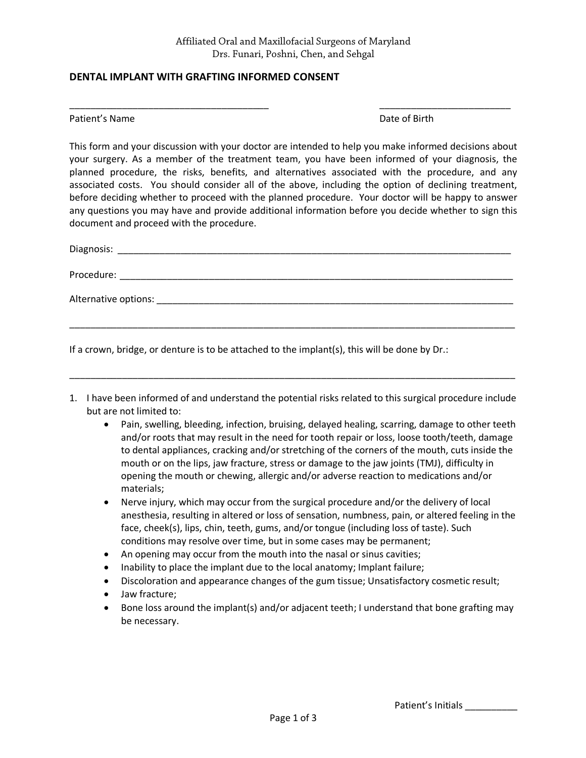\_\_\_\_\_\_\_\_\_\_\_\_\_\_\_\_\_\_\_\_\_\_\_\_\_\_\_\_\_\_\_\_\_\_\_\_\_\_ \_\_\_\_\_\_\_\_\_\_\_\_\_\_\_\_\_\_\_\_\_\_\_\_\_

## **DENTAL IMPLANT WITH GRAFTING INFORMED CONSENT**

Patient's Name **Date of Birth** 

This form and your discussion with your doctor are intended to help you make informed decisions about your surgery. As a member of the treatment team, you have been informed of your diagnosis, the planned procedure, the risks, benefits, and alternatives associated with the procedure, and any associated costs. You should consider all of the above, including the option of declining treatment, before deciding whether to proceed with the planned procedure. Your doctor will be happy to answer any questions you may have and provide additional information before you decide whether to sign this document and proceed with the procedure.

| Diagnosis:                                                                                                                                                                                                                                  |
|---------------------------------------------------------------------------------------------------------------------------------------------------------------------------------------------------------------------------------------------|
| Procedure:<br>the control of the control of the control of the control of the control of the control of the control of the control of the control of the control of the control of the control of the control of the control of the control |
|                                                                                                                                                                                                                                             |
|                                                                                                                                                                                                                                             |

If a crown, bridge, or denture is to be attached to the implant(s), this will be done by Dr.:

1. I have been informed of and understand the potential risks related to this surgical procedure include but are not limited to:

\_\_\_\_\_\_\_\_\_\_\_\_\_\_\_\_\_\_\_\_\_\_\_\_\_\_\_\_\_\_\_\_\_\_\_\_\_\_\_\_\_\_\_\_\_\_\_\_\_\_\_\_\_\_\_\_\_\_\_\_\_\_\_\_\_\_\_\_\_\_\_\_\_\_\_\_\_\_\_\_\_\_\_\_\_

- Pain, swelling, bleeding, infection, bruising, delayed healing, scarring, damage to other teeth and/or roots that may result in the need for tooth repair or loss, loose tooth/teeth, damage to dental appliances, cracking and/or stretching of the corners of the mouth, cuts inside the mouth or on the lips, jaw fracture, stress or damage to the jaw joints (TMJ), difficulty in opening the mouth or chewing, allergic and/or adverse reaction to medications and/or materials;
- Nerve injury, which may occur from the surgical procedure and/or the delivery of local anesthesia, resulting in altered or loss of sensation, numbness, pain, or altered feeling in the face, cheek(s), lips, chin, teeth, gums, and/or tongue (including loss of taste). Such conditions may resolve over time, but in some cases may be permanent;
- An opening may occur from the mouth into the nasal or sinus cavities;
- Inability to place the implant due to the local anatomy; Implant failure;
- Discoloration and appearance changes of the gum tissue; Unsatisfactory cosmetic result;
- Jaw fracture;
- Bone loss around the implant(s) and/or adjacent teeth; I understand that bone grafting may be necessary.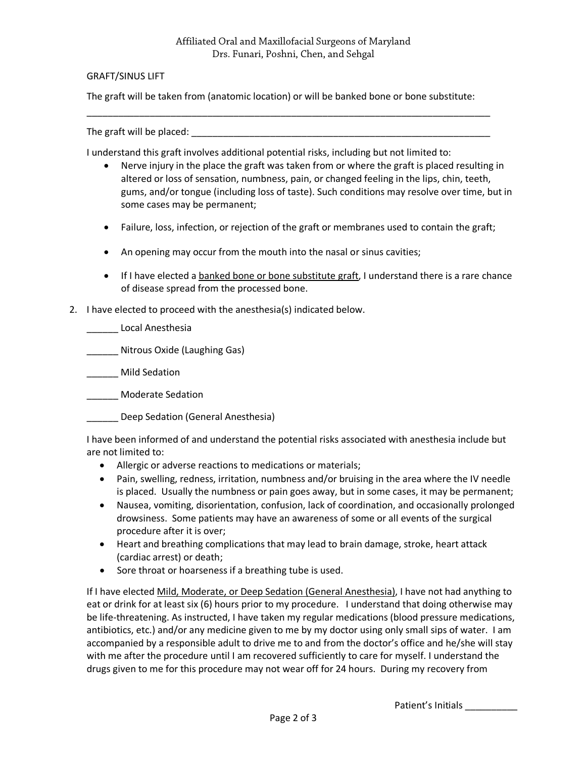## GRAFT/SINUS LIFT

The graft will be taken from (anatomic location) or will be banked bone or bone substitute:

\_\_\_\_\_\_\_\_\_\_\_\_\_\_\_\_\_\_\_\_\_\_\_\_\_\_\_\_\_\_\_\_\_\_\_\_\_\_\_\_\_\_\_\_\_\_\_\_\_\_\_\_\_\_\_\_\_\_\_\_\_\_\_\_\_\_\_\_\_\_\_\_\_\_\_\_\_

The graft will be placed:

I understand this graft involves additional potential risks, including but not limited to:

- Nerve injury in the place the graft was taken from or where the graft is placed resulting in altered or loss of sensation, numbness, pain, or changed feeling in the lips, chin, teeth, gums, and/or tongue (including loss of taste). Such conditions may resolve over time, but in some cases may be permanent;
- Failure, loss, infection, or rejection of the graft or membranes used to contain the graft;
- An opening may occur from the mouth into the nasal or sinus cavities;
- If I have elected a banked bone or bone substitute graft, I understand there is a rare chance of disease spread from the processed bone.
- 2. I have elected to proceed with the anesthesia(s) indicated below.

\_\_\_\_\_\_ Local Anesthesia

\_\_\_\_\_\_ Nitrous Oxide (Laughing Gas)

\_\_\_\_\_\_ Mild Sedation

\_\_\_\_\_\_ Moderate Sedation

\_\_\_\_\_\_ Deep Sedation (General Anesthesia)

I have been informed of and understand the potential risks associated with anesthesia include but are not limited to:

- Allergic or adverse reactions to medications or materials;
- Pain, swelling, redness, irritation, numbness and/or bruising in the area where the IV needle is placed. Usually the numbness or pain goes away, but in some cases, it may be permanent;
- Nausea, vomiting, disorientation, confusion, lack of coordination, and occasionally prolonged drowsiness. Some patients may have an awareness of some or all events of the surgical procedure after it is over;
- Heart and breathing complications that may lead to brain damage, stroke, heart attack (cardiac arrest) or death;
- Sore throat or hoarseness if a breathing tube is used.

If I have elected Mild, Moderate, or Deep Sedation (General Anesthesia), I have not had anything to eat or drink for at least six (6) hours prior to my procedure. I understand that doing otherwise may be life-threatening. As instructed, I have taken my regular medications (blood pressure medications, antibiotics, etc.) and/or any medicine given to me by my doctor using only small sips of water. I am accompanied by a responsible adult to drive me to and from the doctor's office and he/she will stay with me after the procedure until I am recovered sufficiently to care for myself. I understand the drugs given to me for this procedure may not wear off for 24 hours. During my recovery from